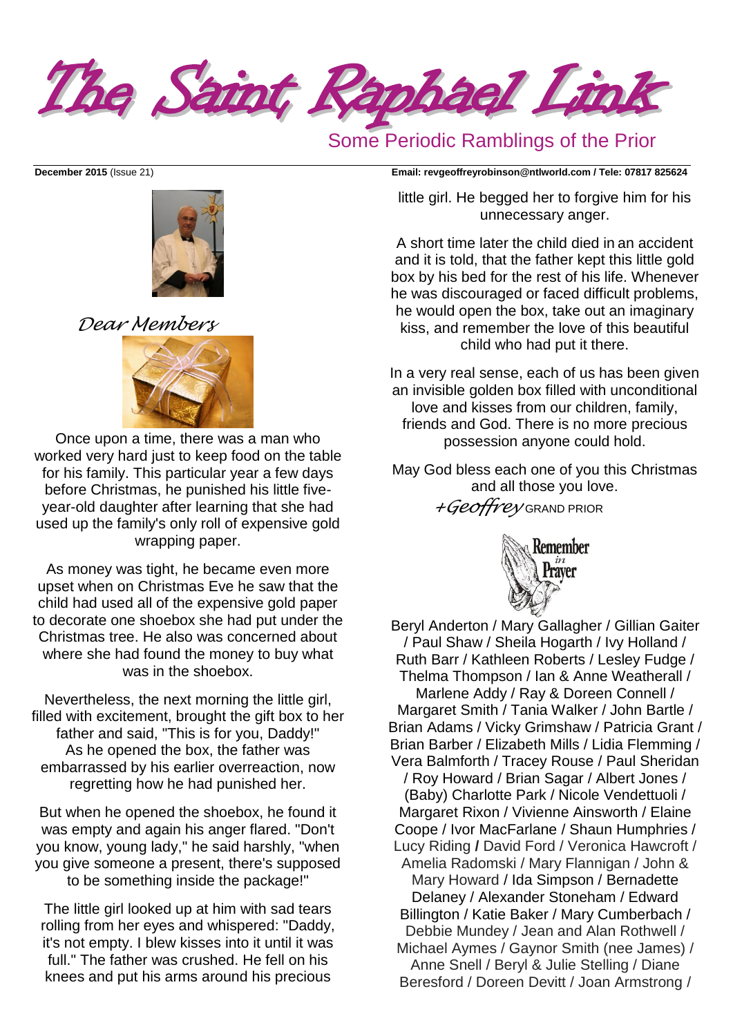The Saint Raphael Link

# Some Periodic Ramblings of the Prior



*Dear Members*



Once upon a time, there was a man who worked very hard just to keep food on the table for his family. This particular year a few days before Christmas, he punished his little fiveyear-old daughter after learning that she had used up the family's only roll of expensive gold wrapping paper.

As money was tight, he became even more upset when on Christmas Eve he saw that the child had used all of the expensive gold paper to decorate one shoebox she had put under the Christmas tree. He also was concerned about where she had found the money to buy what was in the shoebox.

Nevertheless, the next morning the little girl, filled with excitement, brought the gift box to her father and said, "This is for you, Daddy!" As he opened the box, the father was embarrassed by his earlier overreaction, now regretting how he had punished her.

But when he opened the shoebox, he found it was empty and again his anger flared. "Don't you know, young lady," he said harshly, "when you give someone a present, there's supposed to be something inside the package!"

The little girl looked up at him with sad tears rolling from her eyes and whispered: "Daddy, it's not empty. I blew kisses into it until it was full." The father was crushed. He fell on his knees and put his arms around his precious

**December 2015** (Issue 21) **Email: [revgeoffreyrobinson@ntlworld.com](mailto:revgeoffreyrobinson@ntlworld.com) / Tele: 07817 825624**

little girl. He begged her to forgive him for his unnecessary anger.

A short time later the child died in an accident and it is told, that the father kept this little gold box by his bed for the rest of his life. Whenever he was discouraged or faced difficult problems, he would open the box, take out an imaginary kiss, and remember the love of this beautiful child who had put it there.

In a very real sense, each of us has been given an invisible golden box filled with unconditional love and kisses from our children, family, friends and God. There is no more precious possession anyone could hold.

May God bless each one of you this Christmas and all those you love. *+Geoffrey* GRAND PRIOR



Beryl Anderton / Mary Gallagher / Gillian Gaiter / Paul Shaw / Sheila Hogarth / Ivy Holland / Ruth Barr / Kathleen Roberts / Lesley Fudge / Thelma Thompson / Ian & Anne Weatherall / Marlene Addy / Ray & Doreen Connell / Margaret Smith / Tania Walker / John Bartle / Brian Adams / Vicky Grimshaw / Patricia Grant / Brian Barber / Elizabeth Mills / Lidia Flemming / Vera Balmforth / Tracey Rouse / Paul Sheridan / Roy Howard / Brian Sagar / Albert Jones / (Baby) Charlotte Park / Nicole Vendettuoli / Margaret Rixon / Vivienne Ainsworth / Elaine Coope / Ivor MacFarlane / Shaun Humphries / Lucy Riding **/** David Ford / Veronica Hawcroft / Amelia Radomski / Mary Flannigan / John & Mary Howard / Ida Simpson / Bernadette Delaney / Alexander Stoneham / Edward Billington / Katie Baker / Mary Cumberbach / Debbie Mundey / Jean and Alan Rothwell / Michael Aymes / Gaynor Smith (nee James) / Anne Snell / Beryl & Julie Stelling / Diane Beresford / Doreen Devitt / Joan Armstrong /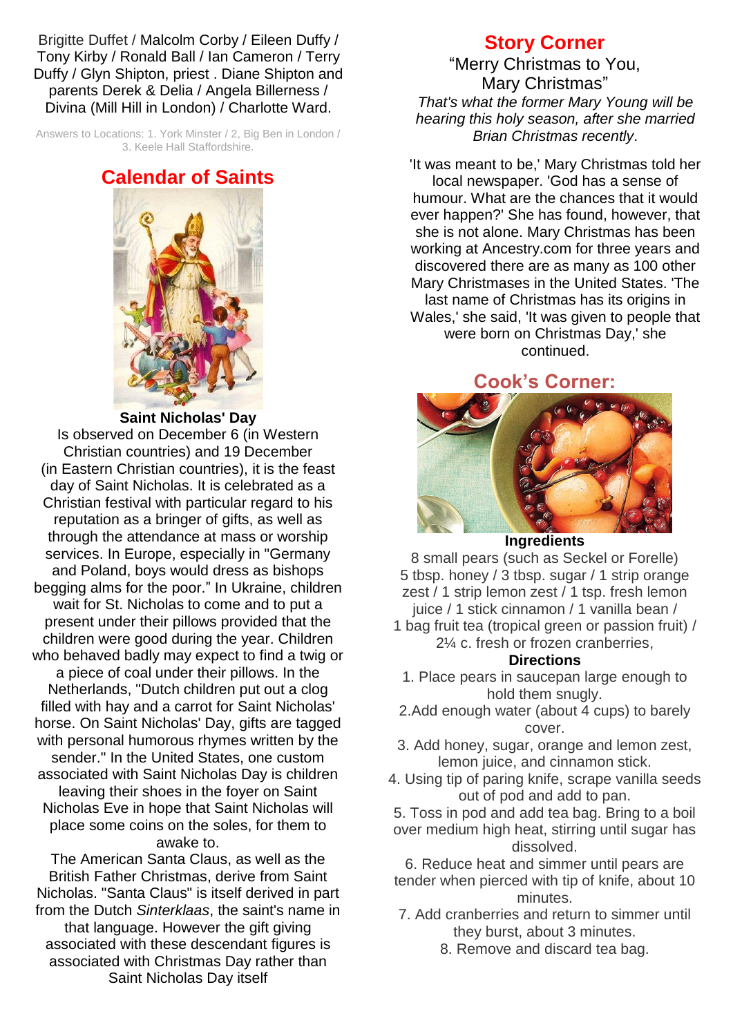Brigitte Duffet / Malcolm Corby / Eileen Duffy / Tony Kirby / Ronald Ball / Ian Cameron / Terry Duffy / Glyn Shipton, priest . Diane Shipton and parents Derek & Delia / Angela Billerness / Divina (Mill Hill in London) / Charlotte Ward.

Answers to Locations: 1. York Minster / 2, Big Ben in London / 3. Keele Hall Staffordshire.

### **Calendar of Saints**



**Saint Nicholas' Day**

Is observed on December 6 (in [Western](https://en.wikipedia.org/wiki/Western_Christian)  [Christian](https://en.wikipedia.org/wiki/Western_Christian) countries) and 19 December (in [Eastern Christian](https://en.wikipedia.org/wiki/Eastern_Christian) countries), it is the [feast](https://en.wikipedia.org/wiki/Feast_day)  [day](https://en.wikipedia.org/wiki/Feast_day) of [Saint Nicholas.](https://en.wikipedia.org/wiki/Saint_Nicholas) It is celebrated as a Christian festival with particular regard to his reputation as a bringer of gifts, as well as through the attendance at [mass](https://en.wikipedia.org/wiki/Mass_(liturgy)) or [worship](https://en.wikipedia.org/wiki/Service_of_worship)  [services.](https://en.wikipedia.org/wiki/Service_of_worship) In Europe, especially in "Germany and Poland, boys would dress as bishops begging alms for the poor." In Ukraine, children wait for St. Nicholas to come and to put a present under their pillows provided that the children were good during the year. Children who behaved badly may expect to find a twig or a piece of coal under their pillows. In the Netherlands, "Dutch children put out a clog filled with hay and a carrot for Saint Nicholas' horse. On Saint Nicholas' Day, gifts are tagged with personal humorous rhymes written by the sender." In the United States, one custom associated with Saint Nicholas Day is children leaving their shoes in the [foyer](https://en.wikipedia.org/wiki/Foyer) on Saint Nicholas Eve in hope that Saint Nicholas will place some coins on the [soles,](https://en.wikipedia.org/wiki/Sole_(shoe)) for them to awake to.

The American [Santa Claus,](https://en.wikipedia.org/wiki/Santa_Claus) as well as the British [Father Christmas,](https://en.wikipedia.org/wiki/Father_Christmas) derive from Saint Nicholas. "Santa Claus" is itself derived in part from the Dutch *[Sinterklaas](https://en.wikipedia.org/wiki/Sinterklaas)*, the saint's name in that language. However the gift giving associated with these descendant figures is associated with [Christmas Day](https://en.wikipedia.org/wiki/Christmas_Day) rather than Saint Nicholas Day itself

# **Story Corner**

"Merry Christmas to You, Mary Christmas" *That's what the former Mary Young will be hearing this holy season, after she married Brian Christmas recently*.

'It was meant to be,' Mary Christmas told her local newspaper. 'God has a sense of humour. What are the chances that it would ever happen?' She has found, however, that she is not alone. Mary Christmas has been working at Ancestry.com for three years and discovered there are as many as 100 other Mary Christmases in the United States. 'The last name of Christmas has its origins in Wales,' she said, 'It was given to people that were born on Christmas Day,' she continued.

### **Cook's Corner:**



#### **Ingredients**

8 small pears (such as Seckel or Forelle) 5 tbsp. honey / 3 tbsp. sugar / 1 strip orange zest / 1 strip lemon zest / 1 tsp. fresh lemon juice / 1 stick cinnamon / 1 vanilla bean /

1 bag fruit tea (tropical green or passion fruit) / 2¼ c. fresh or frozen cranberries,

#### **Directions**

- 1. Place pears in saucepan large enough to hold them snugly.
- 2.Add enough water (about 4 cups) to barely cover.
- 3. Add honey, sugar, orange and lemon zest, lemon juice, and cinnamon stick.
- 4. Using tip of paring knife, scrape vanilla seeds out of pod and add to pan.
- 5. Toss in pod and add tea bag. Bring to a boil over medium high heat, stirring until sugar has dissolved.
- 6. Reduce heat and simmer until pears are tender when pierced with tip of knife, about 10 minutes.
- 7. Add cranberries and return to simmer until they burst, about 3 minutes.
	- 8. Remove and discard tea bag.